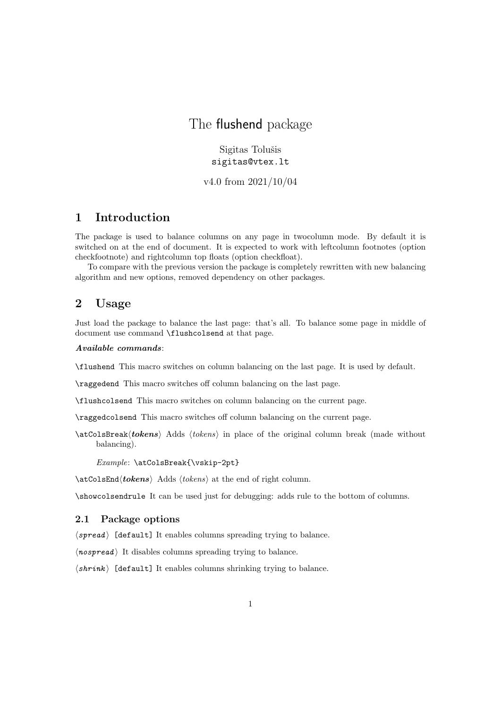# The flushend package

Sigitas Tolušis sigitas@vtex.lt

v4.0 from 2021/10/04

## 1 Introduction

The package is used to balance columns on any page in twocolumn mode. By default it is switched on at the end of document. It is expected to work with leftcolumn footnotes (option checkfootnote) and rightcolumn top floats (option checkfloat).

To compare with the previous version the package is completely rewritten with new balancing algorithm and new options, removed dependency on other packages.

### 2 Usage

Just load the package to balance the last page: that's all. To balance some page in middle of document use command \flushcolsend at that page.

#### Available commands:

\flushend This macro switches on column balancing on the last page. It is used by default.

\raggedend This macro switches off column balancing on the last page.

\flushcolsend This macro switches on column balancing on the current page.

\raggedcolsend This macro switches off column balancing on the current page.

 $\at$ ColsBreak $\langle tokens \rangle$  Adds  $\langle tokens \rangle$  in place of the original column break (made without balancing).

Example: \atColsBreak{\vskip-2pt}

 $\text{ColsEnd}(tokens)$  Adds  $\{tokens\}$  at the end of right column.

\showcolsendrule It can be used just for debugging: adds rule to the bottom of columns.

#### 2.1 Package options

 $\langle spread \rangle$  [default] It enables columns spreading trying to balance.

 $\langle$ nospread $\rangle$  It disables columns spreading trying to balance.

 $\langle$  shrink  $\rangle$  [default] It enables columns shrinking trying to balance.